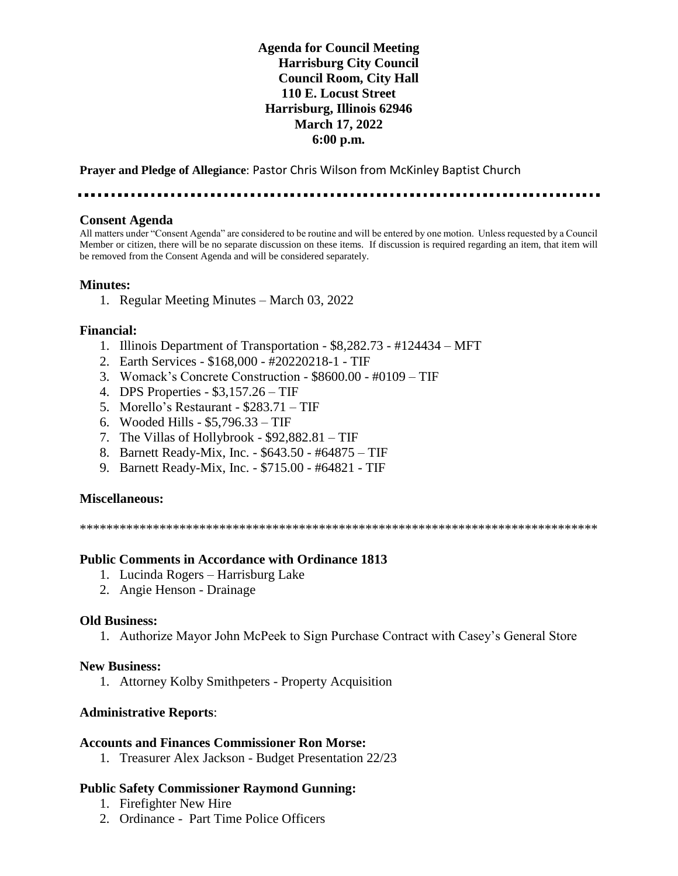## **Agenda for Council Meeting Harrisburg City Council Council Room, City Hall 110 E. Locust Street Harrisburg, Illinois 62946 March 17, 2022 6:00 p.m.**

**Prayer and Pledge of Allegiance**: Pastor Chris Wilson from McKinley Baptist Church

. . . . . . . . . . . . . . . . . . . .

#### **Consent Agenda**

All matters under "Consent Agenda" are considered to be routine and will be entered by one motion. Unless requested by a Council Member or citizen, there will be no separate discussion on these items. If discussion is required regarding an item, that item will be removed from the Consent Agenda and will be considered separately.

### **Minutes:**

1. Regular Meeting Minutes – March 03, 2022

### **Financial:**

- 1. Illinois Department of Transportation \$8,282.73 #124434 MFT
- 2. Earth Services \$168,000 #20220218-1 TIF
- 3. Womack's Concrete Construction \$8600.00 #0109 TIF
- 4. DPS Properties \$3,157.26 TIF
- 5. Morello's Restaurant \$283.71 TIF
- 6. Wooded Hills \$5,796.33 TIF
- 7. The Villas of Hollybrook \$92,882.81 TIF
- 8. Barnett Ready-Mix, Inc. \$643.50 #64875 TIF
- 9. Barnett Ready-Mix, Inc. \$715.00 #64821 TIF

### **Miscellaneous:**

\*\*\*\*\*\*\*\*\*\*\*\*\*\*\*\*\*\*\*\*\*\*\*\*\*\*\*\*\*\*\*\*\*\*\*\*\*\*\*\*\*\*\*\*\*\*\*\*\*\*\*\*\*\*\*\*\*\*\*\*\*\*\*\*\*\*\*\*\*\*\*\*\*\*\*\*\*\*

### **Public Comments in Accordance with Ordinance 1813**

- 1. Lucinda Rogers Harrisburg Lake
- 2. Angie Henson Drainage

#### **Old Business:**

1. Authorize Mayor John McPeek to Sign Purchase Contract with Casey's General Store

#### **New Business:**

1. Attorney Kolby Smithpeters - Property Acquisition

### **Administrative Reports**:

### **Accounts and Finances Commissioner Ron Morse:**

1. Treasurer Alex Jackson - Budget Presentation 22/23

### **Public Safety Commissioner Raymond Gunning:**

- 1. Firefighter New Hire
- 2. Ordinance Part Time Police Officers